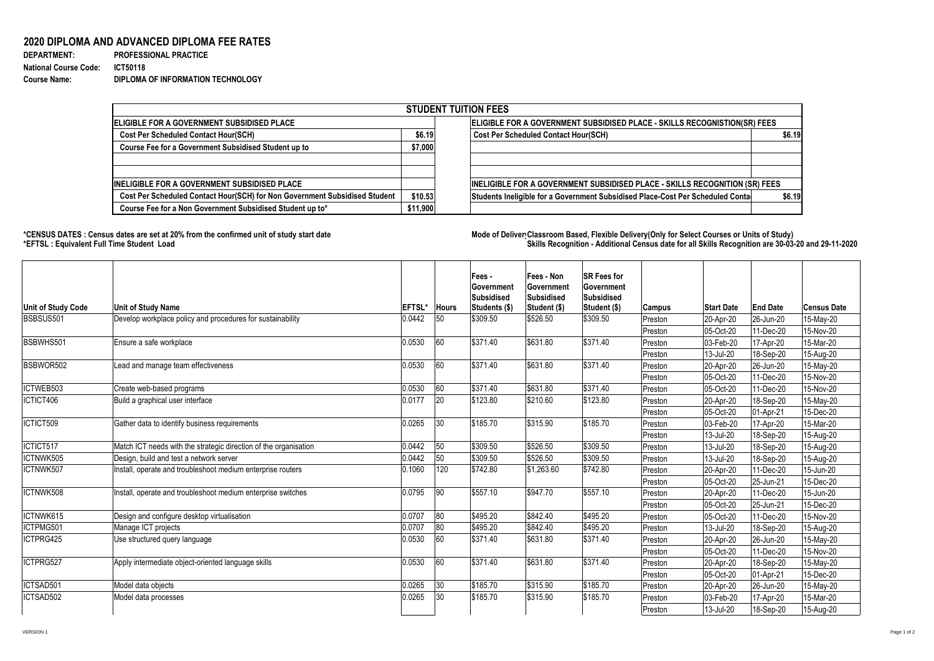## **2020 DIPLOMA AND ADVANCED DIPLOMA FEE RATES**

| <b>DEPARTMENT:</b>           | <b>PROFESSIONAL PRACTICE</b>      |
|------------------------------|-----------------------------------|
| <b>National Course Code:</b> | <b>ICT50118</b>                   |
| <b>Course Name:</b>          | DIPLOMA OF INFORMATION TECHNOLOGY |

## **\*CENSUS DATES : Census dates are set at 20% from the confirmed unit of study start date Mode of Delivery:Classroom Based, Flexible Delivery(Only for Select Courses or Units of Study) \*EFTSL : Equivalent Full Time Student Load Skills Recognition - Additional Census date for all Skills Recognition are 30-03-20 and 29-11-2020**



| <b>STUDENT TUITION FEES</b>                                                |                                                                           |                                                                                |        |  |  |  |  |  |
|----------------------------------------------------------------------------|---------------------------------------------------------------------------|--------------------------------------------------------------------------------|--------|--|--|--|--|--|
| <b> ELIGIBLE FOR A GOVERNMENT SUBSIDISED PLACE</b>                         | ELIGIBLE FOR A GOVERNMENT SUBSIDISED PLACE - SKILLS RECOGNISTION(SR) FEES |                                                                                |        |  |  |  |  |  |
| <b>Cost Per Scheduled Contact Hour(SCH)</b>                                |                                                                           | <b>Cost Per Scheduled Contact Hour(SCH)</b>                                    | \$6.19 |  |  |  |  |  |
| <b>Course Fee for a Government Subsidised Student up to</b>                | \$7,000                                                                   |                                                                                |        |  |  |  |  |  |
|                                                                            |                                                                           |                                                                                |        |  |  |  |  |  |
|                                                                            |                                                                           |                                                                                |        |  |  |  |  |  |
| <b>INELIGIBLE FOR A GOVERNMENT SUBSIDISED PLACE</b>                        |                                                                           | INELIGIBLE FOR A GOVERNMENT SUBSIDISED PLACE - SKILLS RECOGNITION (SR) FEES    |        |  |  |  |  |  |
| Cost Per Scheduled Contact Hour(SCH) for Non Government Subsidised Student | \$10.53                                                                   | Students Ineligible for a Government Subsidised Place-Cost Per Scheduled Conta | \$6.19 |  |  |  |  |  |
| Course Fee for a Non Government Subsidised Student up to*                  | \$11,900                                                                  |                                                                                |        |  |  |  |  |  |

| <b>Unit of Study Code</b> | <b>Unit of Study Name</b>                                        | <b>EFTSL*</b> | <b>Hours</b> | Fees -<br><b>Government</b><br><b>Subsidised</b><br>Students (\$) | <b>Fees - Non</b><br><b>Government</b><br>Subsidised<br>Student (\$) | <b>SR Fees for</b><br><b>Government</b><br><b>Subsidised</b><br>Student (\$) | <b>Campus</b> | <b>Start Date</b>        | <b>End Date</b>   | <b>Census Date</b> |
|---------------------------|------------------------------------------------------------------|---------------|--------------|-------------------------------------------------------------------|----------------------------------------------------------------------|------------------------------------------------------------------------------|---------------|--------------------------|-------------------|--------------------|
| <b>BSBSUS501</b>          | Develop workplace policy and procedures for sustainability       | 0.0442        | 50           | \$309.50                                                          | \$526.50                                                             | \$309.50                                                                     | Preston       | $ 20 - Apr-20 $          | 26-Jun-20         | 15-May-20          |
|                           |                                                                  |               |              |                                                                   |                                                                      |                                                                              | Preston       | 05-Oct-20                | 11-Dec-20         | 15-Nov-20          |
| BSBWHS501                 | Ensure a safe workplace                                          | 0.0530        | 60           | \$371.40                                                          | \$631.80                                                             | \$371.40                                                                     | Preston       | $ 03 - \text{Feb} - 20 $ | 17-Apr-20         | 15-Mar-20          |
|                           |                                                                  |               |              |                                                                   |                                                                      |                                                                              | Preston       | 13-Jul-20                | 18-Sep-20         | 15-Aug-20          |
| BSBWOR502                 | Lead and manage team effectiveness                               | 0.0530        | 60           | \$371.40                                                          | \$631.80                                                             | \$371.40                                                                     | Preston       | $ 20 - Apr-20 $          | 26-Jun-20         | 15-May-20          |
|                           |                                                                  |               |              |                                                                   |                                                                      |                                                                              | Preston       | 05-Oct-20                | 11-Dec-20         | 15-Nov-20          |
| ICTWEB503                 | Create web-based programs                                        | 0.0530        | 60           | \$371.40                                                          | \$631.80                                                             | \$371.40                                                                     | Preston       | 05-Oct-20                | 11-Dec-20         | 15-Nov-20          |
| ICTICT406                 | Build a graphical user interface                                 | 0.0177        | <b>20</b>    | \$123.80                                                          | \$210.60                                                             | \$123.80                                                                     | Preston       | $ 20 - Apr-20 $          | 18-Sep-20         | 15-May-20          |
|                           |                                                                  |               |              |                                                                   |                                                                      |                                                                              | Preston       | 05-Oct-20                | $ 01 - Apr - 21 $ | 15-Dec-20          |
| ICTICT509                 | Gather data to identify business requirements                    | 0.0265        | 30           | \$185.70                                                          | \$315.90                                                             | \$185.70                                                                     | Preston       | $ 03 - \text{Feb} - 20 $ | 17-Apr-20         | 15-Mar-20          |
|                           |                                                                  |               |              |                                                                   |                                                                      |                                                                              | Preston       | $ 13 -$ Jul-20           | 18-Sep-20         | 15-Aug-20          |
| ICTICT517                 | Match ICT needs with the strategic direction of the organisation | 0.0442        | 50           | \$309.50                                                          | \$526.50                                                             | \$309.50                                                                     | Preston       | $ 13 -$ Jul-20           | 18-Sep-20         | 15-Aug-20          |
| ICTNWK505                 | Design, build and test a network server                          | 0.0442        | 50           | \$309.50                                                          | \$526.50                                                             | \$309.50                                                                     | Preston       | 13-Jul-20                | 18-Sep-20         | 15-Aug-20          |
| ICTNWK507                 | Install, operate and troubleshoot medium enterprise routers      | 0.1060        | 120          | \$742.80                                                          | \$1,263.60                                                           | \$742.80                                                                     | Preston       | $ 20 - Apr-20 $          | 11-Dec-20         | 15-Jun-20          |
|                           |                                                                  |               |              |                                                                   |                                                                      |                                                                              | Preston       | 05-Oct-20                | 25-Jun-21         | 15-Dec-20          |
| ICTNWK508                 | Install, operate and troubleshoot medium enterprise switches     | 0.0795        | 90           | \$557.10                                                          | \$947.70                                                             | \$557.10                                                                     | Preston       | $ 20 - Apr-20 $          | 11-Dec-20         | 15-Jun-20          |
|                           |                                                                  |               |              |                                                                   |                                                                      |                                                                              | Preston       | 05-Oct-20                | 25-Jun-21         | 15-Dec-20          |
| ICTNWK615                 | Design and configure desktop virtualisation                      | 0.0707        | 80           | \$495.20                                                          | \$842.40                                                             | \$495.20                                                                     | Preston       | 05-Oct-20                | 11-Dec-20         | 15-Nov-20          |
| ICTPMG501                 | Manage ICT projects                                              | 0.0707        | 80           | \$495.20                                                          | \$842.40                                                             | \$495.20                                                                     | Preston       | 13-Jul-20                | 18-Sep-20         | 15-Aug-20          |
| ICTPRG425                 | Use structured query language                                    | 0.0530        | 60           | \$371.40                                                          | \$631.80                                                             | \$371.40                                                                     | Preston       | 20-Apr-20                | 26-Jun-20         | 15-May-20          |
|                           |                                                                  |               |              |                                                                   |                                                                      |                                                                              | Preston       | 05-Oct-20                | 11-Dec-20         | 15-Nov-20          |
| ICTPRG527                 | Apply intermediate object-oriented language skills               | 0.0530        | 60           | \$371.40                                                          | \$631.80                                                             | \$371.40                                                                     | Preston       | 20-Apr-20                | 18-Sep-20         | 15-May-20          |
|                           |                                                                  |               |              |                                                                   |                                                                      |                                                                              | Preston       | 05-Oct-20                | 01-Apr-21         | 15-Dec-20          |
| ICTSAD501                 | Model data objects                                               | 0.0265        | $ 30\rangle$ | \$185.70                                                          | \$315.90                                                             | \$185.70                                                                     | Preston       | $ 20 - Apr-20 $          | 26-Jun-20         | $15$ -May-20       |
| ICTSAD502                 | Model data processes                                             | 0.0265        | $ 30\rangle$ | \$185.70                                                          | \$315.90                                                             | \$185.70                                                                     | Preston       | $ 03 - \text{Feb} - 20 $ | 17-Apr-20         | 15-Mar-20          |
|                           |                                                                  |               |              |                                                                   |                                                                      |                                                                              | Preston       | $ 13 -$ Jul-20           | 18-Sep-20         | 15-Aug-20          |